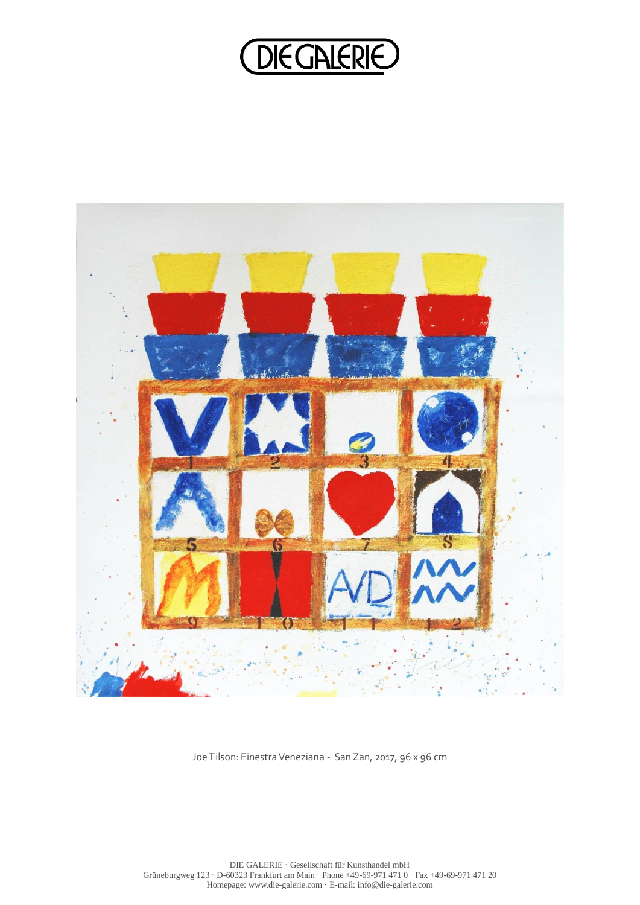## **DIEGALERIE**



Joe Tilson: Finestra Veneziana - San Zan, 2017, 96 x 96 cm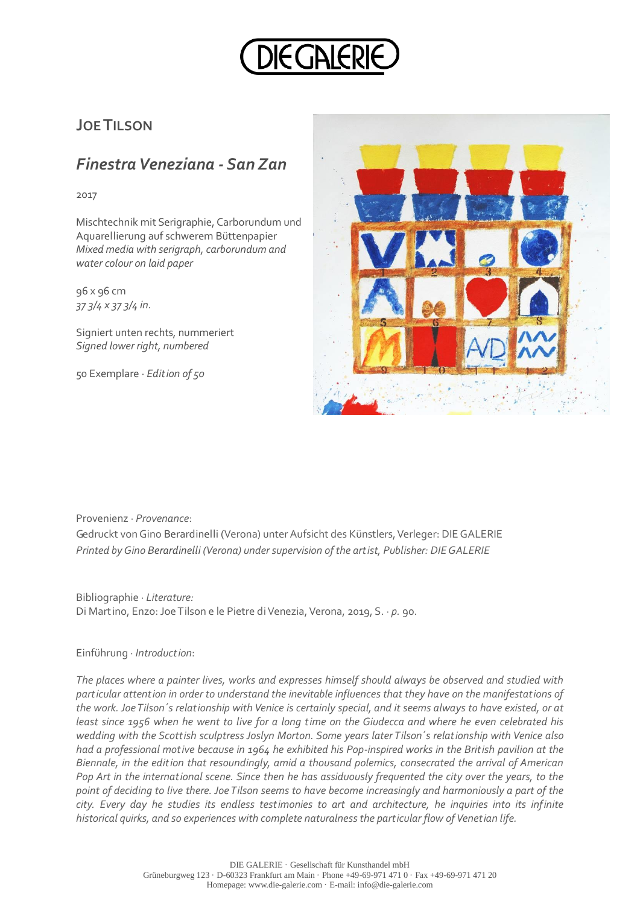

## **JOE TILSON**

## *Finestra Veneziana - San Zan*

2017

Mischtechnik mit Serigraphie, Carborundum und Aquarellierung auf schwerem Büttenpapier *Mixed media with serigraph, carborundum and water colour on laid paper*

96 x 96 cm *37 3/4 x 37 3/4 in.*

Signiert unten rechts, nummeriert *Signed lower right, numbered* 

50 Exemplare · *Edition of 50*



Provenienz · *Provenance*:

Gedruckt von Gino Berardinelli (Verona) unter Aufsicht des Künstlers, Verleger: DIE GALERIE *Printed by Gino Berardinelli (Verona) under supervision of the artist, Publisher: DIE GALERIE*

Bibliographie · *Literature:* Di Martino, Enzo: Joe Tilson e le Pietre di Venezia, Verona, 2019, S. ∙ *p.* 90.

## Einführung ∙ *Introduction*:

*The places where a painter lives, works and expresses himself should always be observed and studied with particular attention in order to understand the inevitable influences that they have on the manifestations of the work. Joe Tilson´s relationship with Venice is certainly special, and it seems always to have existed, or at least since 1956 when he went to live for a long time on the Giudecca and where he even celebrated his wedding with the Scottish sculptress Joslyn Morton. Some years later Tilson´s relationship with Venice also had a professional motive because in 1964 he exhibited his Pop-inspired works in the British pavilion at the Biennale, in the edition that resoundingly, amid a thousand polemics, consecrated the arrival of American Pop Art in the international scene. Since then he has assiduously frequented the city over the years, to the point of deciding to live there. Joe Tilson seems to have become increasingly and harmoniously a part of the city. Every day he studies its endless testimonies to art and architecture, he inquiries into its infinite historical quirks, and so experiences with complete naturalness the particular flow of Venetian life.*